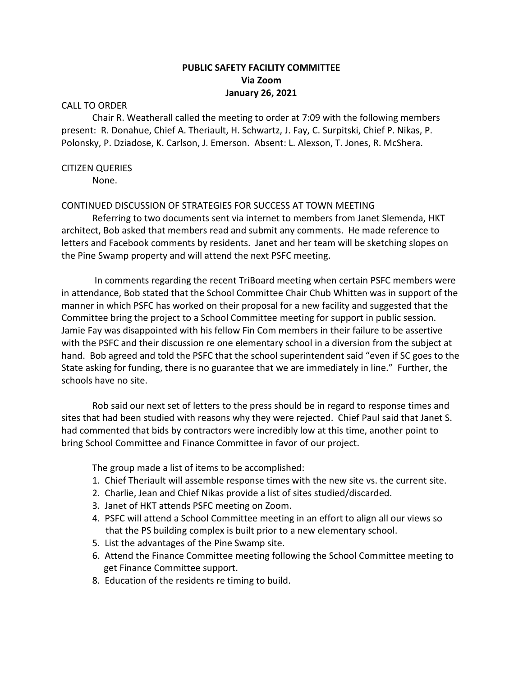# **PUBLIC SAFETY FACILITY COMMITTEE Via Zoom January 26, 2021**

### CALL TO ORDER

Chair R. Weatherall called the meeting to order at 7:09 with the following members present: R. Donahue, Chief A. Theriault, H. Schwartz, J. Fay, C. Surpitski, Chief P. Nikas, P. Polonsky, P. Dziadose, K. Carlson, J. Emerson. Absent: L. Alexson, T. Jones, R. McShera.

### CITIZEN QUERIES

None.

#### CONTINUED DISCUSSION OF STRATEGIES FOR SUCCESS AT TOWN MEETING

Referring to two documents sent via internet to members from Janet Slemenda, HKT architect, Bob asked that members read and submit any comments. He made reference to letters and Facebook comments by residents. Janet and her team will be sketching slopes on the Pine Swamp property and will attend the next PSFC meeting.

In comments regarding the recent TriBoard meeting when certain PSFC members were in attendance, Bob stated that the School Committee Chair Chub Whitten was in support of the manner in which PSFC has worked on their proposal for a new facility and suggested that the Committee bring the project to a School Committee meeting for support in public session. Jamie Fay was disappointed with his fellow Fin Com members in their failure to be assertive with the PSFC and their discussion re one elementary school in a diversion from the subject at hand. Bob agreed and told the PSFC that the school superintendent said "even if SC goes to the State asking for funding, there is no guarantee that we are immediately in line." Further, the schools have no site.

Rob said our next set of letters to the press should be in regard to response times and sites that had been studied with reasons why they were rejected. Chief Paul said that Janet S. had commented that bids by contractors were incredibly low at this time, another point to bring School Committee and Finance Committee in favor of our project.

The group made a list of items to be accomplished:

- 1. Chief Theriault will assemble response times with the new site vs. the current site.
- 2. Charlie, Jean and Chief Nikas provide a list of sites studied/discarded.
- 3. Janet of HKT attends PSFC meeting on Zoom.
- 4. PSFC will attend a School Committee meeting in an effort to align all our views so that the PS building complex is built prior to a new elementary school.
- 5. List the advantages of the Pine Swamp site.
- 6. Attend the Finance Committee meeting following the School Committee meeting to get Finance Committee support.
- 8. Education of the residents re timing to build.